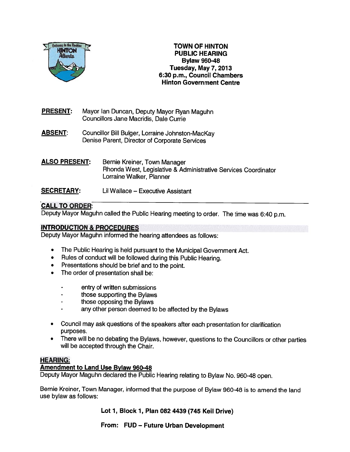

#### TOWN OF HINTON PUBLIC HEARING Bylaw 960-48 Tuesday, May 7, 2013 6:30 p.m., Council Chambers Hinton Government Centre

- PRESENT: Mayor Ian Duncan, Deputy Mayor Ryan Maguhn Councillors Jane Macridis, Dale Currie
- ABSENT: Councillor Bill Bulger, Lorraine Johnston-MacKay Denise Parent, Director of Corporate Services
- ALSO PRESENT: Bernie Kreiner, Town Manager Rhonda West, Legislative & Administrative Services Coordinator Lorraine Walker, Planner
- SECRETARY: Lii Wallace Executive Assistant

# CALL TO ORDER:

Deputy Mayor Maguhn called the Public Hearing meeting to order. The time was 6:40 p.m.

## INTRODUCTION & PROCEDURES

Deputy Mayor Maguhn informed the hearing attendees as follows:

- •The Public Hearing is held pursuant to the Municipal Government Act.
- Rules of conduct will be followed during this Public Hearing.
- •Presentations should be brief and to the point.
- • The order of presentation shall be:
	- entry of written submissions
	- those supporting the Bylaws
	- those opposing the Bylaws
	- any other person deemed to be affected by the Bylaws
- • Council may ask questions of the speakers after each presentation for clarification purposes.
- • There will be no debating the Bylaws, however, questions to the Councillors or other parties will be accepted through the Chair.

## HEARING:

### Amendment to Land Use Bylaw 960-48

Deputy Mayor Maguhn declared the Public Hearing relating to Bylaw No. 960-48 open.

Bernie Kreiner, Town Manager, informed that the purpose of Bylaw 960-48 is to amend the land use bylaw as follows:

Lot 1, Block 1, Plan 082 4439 (745 Keil Drive)

From: FUD — Future Urban Development